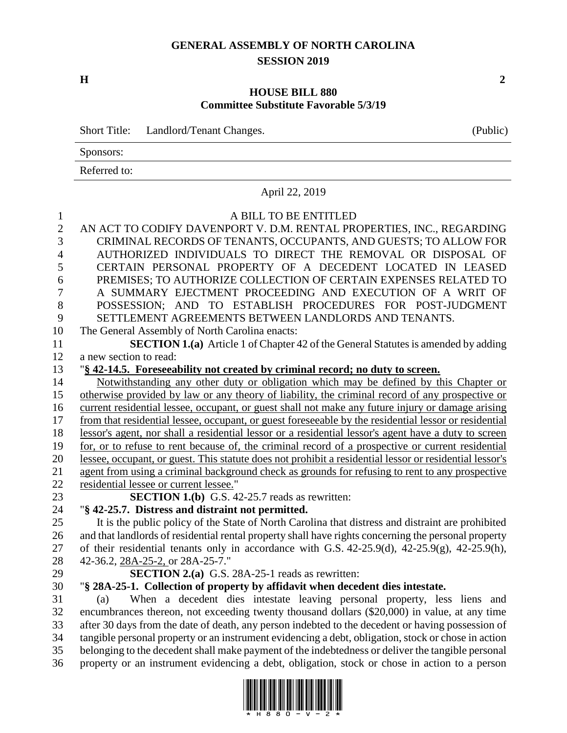## **GENERAL ASSEMBLY OF NORTH CAROLINA SESSION 2019**

**H 2**

## **HOUSE BILL 880 Committee Substitute Favorable 5/3/19**

|                                                                                | <b>Short Title:</b><br>Landlord/Tenant Changes.<br>(Public)                                                                                                                                                                                                                                                                                                                                                                                                                                                                                          |
|--------------------------------------------------------------------------------|------------------------------------------------------------------------------------------------------------------------------------------------------------------------------------------------------------------------------------------------------------------------------------------------------------------------------------------------------------------------------------------------------------------------------------------------------------------------------------------------------------------------------------------------------|
|                                                                                | Sponsors:                                                                                                                                                                                                                                                                                                                                                                                                                                                                                                                                            |
|                                                                                | Referred to:                                                                                                                                                                                                                                                                                                                                                                                                                                                                                                                                         |
|                                                                                | April 22, 2019                                                                                                                                                                                                                                                                                                                                                                                                                                                                                                                                       |
| $\mathbf{1}$<br>$\overline{2}$<br>3<br>$\overline{4}$<br>5<br>6<br>7<br>8<br>9 | A BILL TO BE ENTITLED<br>AN ACT TO CODIFY DAVENPORT V. D.M. RENTAL PROPERTIES, INC., REGARDING<br>CRIMINAL RECORDS OF TENANTS, OCCUPANTS, AND GUESTS; TO ALLOW FOR<br>AUTHORIZED INDIVIDUALS TO DIRECT THE REMOVAL OR DISPOSAL OF<br>CERTAIN PERSONAL PROPERTY OF A DECEDENT LOCATED IN LEASED<br>PREMISES; TO AUTHORIZE COLLECTION OF CERTAIN EXPENSES RELATED TO<br>A SUMMARY EJECTMENT PROCEEDING AND EXECUTION OF A WRIT OF<br>POSSESSION; AND TO ESTABLISH PROCEDURES FOR POST-JUDGMENT<br>SETTLEMENT AGREEMENTS BETWEEN LANDLORDS AND TENANTS. |
| 10                                                                             | The General Assembly of North Carolina enacts:                                                                                                                                                                                                                                                                                                                                                                                                                                                                                                       |
| 11<br>12                                                                       | <b>SECTION 1.(a)</b> Article 1 of Chapter 42 of the General Statutes is amended by adding<br>a new section to read:                                                                                                                                                                                                                                                                                                                                                                                                                                  |
| 13                                                                             | "§ 42-14.5. Foreseeability not created by criminal record; no duty to screen.                                                                                                                                                                                                                                                                                                                                                                                                                                                                        |
| 14                                                                             | Notwithstanding any other duty or obligation which may be defined by this Chapter or                                                                                                                                                                                                                                                                                                                                                                                                                                                                 |
| 15                                                                             | otherwise provided by law or any theory of liability, the criminal record of any prospective or                                                                                                                                                                                                                                                                                                                                                                                                                                                      |
| 16                                                                             | current residential lessee, occupant, or guest shall not make any future injury or damage arising                                                                                                                                                                                                                                                                                                                                                                                                                                                    |
| 17                                                                             | from that residential lessee, occupant, or guest foreseeable by the residential lessor or residential                                                                                                                                                                                                                                                                                                                                                                                                                                                |
| 18<br>19                                                                       | lessor's agent, nor shall a residential lessor or a residential lessor's agent have a duty to screen                                                                                                                                                                                                                                                                                                                                                                                                                                                 |
| 20                                                                             | for, or to refuse to rent because of, the criminal record of a prospective or current residential<br>lessee, occupant, or guest. This statute does not prohibit a residential lessor or residential lessor's                                                                                                                                                                                                                                                                                                                                         |
| 21                                                                             | agent from using a criminal background check as grounds for refusing to rent to any prospective                                                                                                                                                                                                                                                                                                                                                                                                                                                      |
| 22                                                                             | residential lessee or current lessee."                                                                                                                                                                                                                                                                                                                                                                                                                                                                                                               |
| 23                                                                             | <b>SECTION 1.(b)</b> G.S. 42-25.7 reads as rewritten:                                                                                                                                                                                                                                                                                                                                                                                                                                                                                                |
| 24                                                                             | "§ 42-25.7. Distress and distraint not permitted.                                                                                                                                                                                                                                                                                                                                                                                                                                                                                                    |
| 25                                                                             | It is the public policy of the State of North Carolina that distress and distraint are prohibited                                                                                                                                                                                                                                                                                                                                                                                                                                                    |
| 26                                                                             | and that landlords of residential rental property shall have rights concerning the personal property                                                                                                                                                                                                                                                                                                                                                                                                                                                 |
| 27                                                                             | of their residential tenants only in accordance with G.S. $42-25.9(d)$ , $42-25.9(g)$ , $42-25.9(h)$ ,                                                                                                                                                                                                                                                                                                                                                                                                                                               |
| 28                                                                             | 42-36.2, 28A-25-2, or 28A-25-7."                                                                                                                                                                                                                                                                                                                                                                                                                                                                                                                     |
| 29                                                                             | <b>SECTION 2.(a)</b> G.S. 28A-25-1 reads as rewritten:                                                                                                                                                                                                                                                                                                                                                                                                                                                                                               |
| 30                                                                             | "§ 28A-25-1. Collection of property by affidavit when decedent dies intestate.                                                                                                                                                                                                                                                                                                                                                                                                                                                                       |
| 31                                                                             | When a decedent dies intestate leaving personal property, less liens and<br>(a)                                                                                                                                                                                                                                                                                                                                                                                                                                                                      |
| 32                                                                             | encumbrances thereon, not exceeding twenty thousand dollars (\$20,000) in value, at any time                                                                                                                                                                                                                                                                                                                                                                                                                                                         |
| 33                                                                             | after 30 days from the date of death, any person indebted to the decedent or having possession of                                                                                                                                                                                                                                                                                                                                                                                                                                                    |
| 34                                                                             | tangible personal property or an instrument evidencing a debt, obligation, stock or chose in action                                                                                                                                                                                                                                                                                                                                                                                                                                                  |
| 35                                                                             | belonging to the decedent shall make payment of the indebtedness or deliver the tangible personal                                                                                                                                                                                                                                                                                                                                                                                                                                                    |
| 36                                                                             | property or an instrument evidencing a debt, obligation, stock or chose in action to a person                                                                                                                                                                                                                                                                                                                                                                                                                                                        |

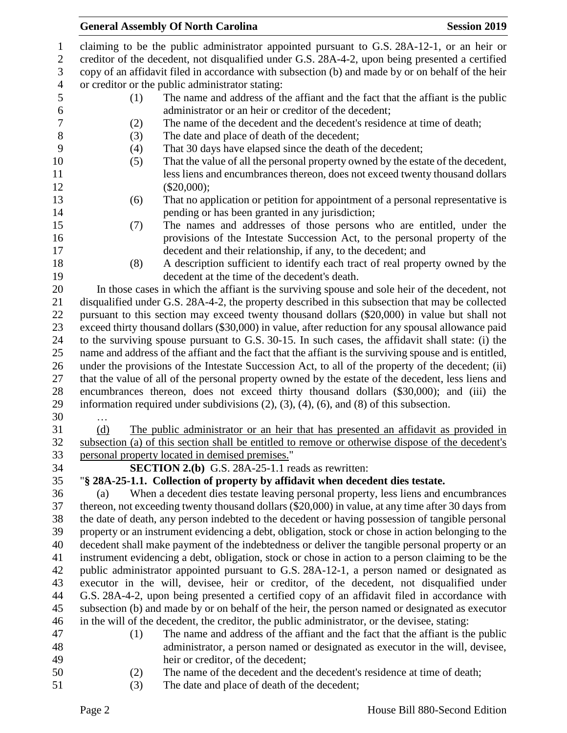|     | <b>General Assembly Of North Carolina</b>                                                              | <b>Session 2019</b> |
|-----|--------------------------------------------------------------------------------------------------------|---------------------|
|     | claiming to be the public administrator appointed pursuant to G.S. 28A-12-1, or an heir or             |                     |
|     | creditor of the decedent, not disqualified under G.S. 28A-4-2, upon being presented a certified        |                     |
|     | copy of an affidavit filed in accordance with subsection (b) and made by or on behalf of the heir      |                     |
|     | or creditor or the public administrator stating:                                                       |                     |
| (1) | The name and address of the affiant and the fact that the affiant is the public                        |                     |
|     | administrator or an heir or creditor of the decedent;                                                  |                     |
| (2) | The name of the decedent and the decedent's residence at time of death;                                |                     |
| (3) | The date and place of death of the decedent;                                                           |                     |
| (4) | That 30 days have elapsed since the death of the decedent;                                             |                     |
| (5) | That the value of all the personal property owned by the estate of the decedent,                       |                     |
|     | less liens and encumbrances thereon, does not exceed twenty thousand dollars<br>$(\$20,000);$          |                     |
|     | That no application or petition for appointment of a personal representative is                        |                     |
| (6) | pending or has been granted in any jurisdiction;                                                       |                     |
|     | The names and addresses of those persons who are entitled, under the                                   |                     |
| (7) | provisions of the Intestate Succession Act, to the personal property of the                            |                     |
|     | decedent and their relationship, if any, to the decedent; and                                          |                     |
| (8) | A description sufficient to identify each tract of real property owned by the                          |                     |
|     | decedent at the time of the decedent's death.                                                          |                     |
|     | In those cases in which the affiant is the surviving spouse and sole heir of the decedent, not         |                     |
|     | disqualified under G.S. 28A-4-2, the property described in this subsection that may be collected       |                     |
|     | pursuant to this section may exceed twenty thousand dollars (\$20,000) in value but shall not          |                     |
|     | exceed thirty thousand dollars (\$30,000) in value, after reduction for any spousal allowance paid     |                     |
|     | to the surviving spouse pursuant to G.S. 30-15. In such cases, the affidavit shall state: (i) the      |                     |
|     | name and address of the affiant and the fact that the affiant is the surviving spouse and is entitled, |                     |
|     | under the provisions of the Intestate Succession Act, to all of the property of the decedent; (ii)     |                     |
|     | that the value of all of the personal property owned by the estate of the decedent, less liens and     |                     |
|     | encumbrances thereon, does not exceed thirty thousand dollars (\$30,000); and (iii) the                |                     |
|     | information required under subdivisions $(2)$ , $(3)$ , $(4)$ , $(6)$ , and $(8)$ of this subsection.  |                     |
| .   |                                                                                                        |                     |
| (d) | The public administrator or an heir that has presented an affidavit as provided in                     |                     |
|     | subsection (a) of this section shall be entitled to remove or otherwise dispose of the decedent's      |                     |
|     | personal property located in demised premises."                                                        |                     |
|     | <b>SECTION 2.(b)</b> G.S. 28A-25-1.1 reads as rewritten:                                               |                     |
|     | "§ 28A-25-1.1. Collection of property by affidavit when decedent dies testate.                         |                     |
| (a) | When a decedent dies testate leaving personal property, less liens and encumbrances                    |                     |
|     | thereon, not exceeding twenty thousand dollars (\$20,000) in value, at any time after 30 days from     |                     |
|     | the date of death, any person indebted to the decedent or having possession of tangible personal       |                     |
|     | property or an instrument evidencing a debt, obligation, stock or chose in action belonging to the     |                     |
|     | decedent shall make payment of the indebtedness or deliver the tangible personal property or an        |                     |
|     | instrument evidencing a debt, obligation, stock or chose in action to a person claiming to be the      |                     |
|     | public administrator appointed pursuant to G.S. 28A-12-1, a person named or designated as              |                     |
|     | executor in the will, devisee, heir or creditor, of the decedent, not disqualified under               |                     |
|     | G.S. 28A-4-2, upon being presented a certified copy of an affidavit filed in accordance with           |                     |
|     | subsection (b) and made by or on behalf of the heir, the person named or designated as executor        |                     |
|     | in the will of the decedent, the creditor, the public administrator, or the devisee, stating:          |                     |
| (1) | The name and address of the affiant and the fact that the affiant is the public                        |                     |
|     | administrator, a person named or designated as executor in the will, devisee,                          |                     |
|     | heir or creditor, of the decedent;                                                                     |                     |
| (2) | The name of the decedent and the decedent's residence at time of death;                                |                     |
| (3) | The date and place of death of the decedent;                                                           |                     |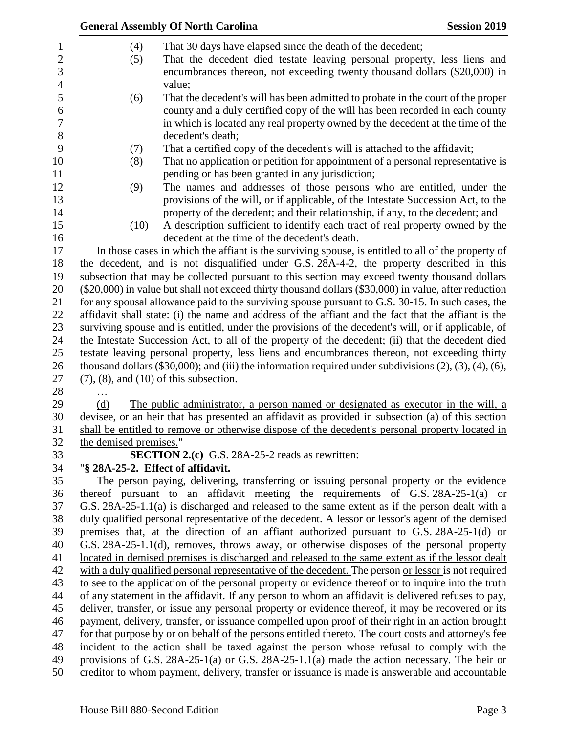|                        | <b>General Assembly Of North Carolina</b>                                                                                           | <b>Session 2019</b> |
|------------------------|-------------------------------------------------------------------------------------------------------------------------------------|---------------------|
| (4)                    | That 30 days have elapsed since the death of the decedent;                                                                          |                     |
| (5)                    | That the decedent died testate leaving personal property, less liens and                                                            |                     |
|                        | encumbrances thereon, not exceeding twenty thousand dollars (\$20,000) in                                                           |                     |
|                        | value;                                                                                                                              |                     |
| (6)                    | That the decedent's will has been admitted to probate in the court of the proper                                                    |                     |
|                        | county and a duly certified copy of the will has been recorded in each county                                                       |                     |
|                        |                                                                                                                                     |                     |
|                        | in which is located any real property owned by the decedent at the time of the                                                      |                     |
|                        | decedent's death;                                                                                                                   |                     |
| (7)                    | That a certified copy of the decedent's will is attached to the affidavit;                                                          |                     |
| (8)                    | That no application or petition for appointment of a personal representative is<br>pending or has been granted in any jurisdiction; |                     |
| (9)                    | The names and addresses of those persons who are entitled, under the                                                                |                     |
|                        | provisions of the will, or if applicable, of the Intestate Succession Act, to the                                                   |                     |
|                        | property of the decedent; and their relationship, if any, to the decedent; and                                                      |                     |
| (10)                   | A description sufficient to identify each tract of real property owned by the                                                       |                     |
|                        | decedent at the time of the decedent's death.                                                                                       |                     |
|                        | In those cases in which the affiant is the surviving spouse, is entitled to all of the property of                                  |                     |
|                        | the decedent, and is not disqualified under G.S. 28A-4-2, the property described in this                                            |                     |
|                        | subsection that may be collected pursuant to this section may exceed twenty thousand dollars                                        |                     |
|                        | (\$20,000) in value but shall not exceed thirty thousand dollars (\$30,000) in value, after reduction                               |                     |
|                        | for any spousal allowance paid to the surviving spouse pursuant to G.S. 30-15. In such cases, the                                   |                     |
|                        | affidavit shall state: (i) the name and address of the affiant and the fact that the affiant is the                                 |                     |
|                        | surviving spouse and is entitled, under the provisions of the decedent's will, or if applicable, of                                 |                     |
|                        | the Intestate Succession Act, to all of the property of the decedent; (ii) that the decedent died                                   |                     |
|                        | testate leaving personal property, less liens and encumbrances thereon, not exceeding thirty                                        |                     |
|                        | thousand dollars $(\$30,000)$ ; and (iii) the information required under subdivisions $(2)$ , $(3)$ , $(4)$ , $(6)$ ,               |                     |
|                        | $(7)$ , $(8)$ , and $(10)$ of this subsection.                                                                                      |                     |
|                        |                                                                                                                                     |                     |
| (d)                    | The public administrator, a person named or designated as executor in the will, a                                                   |                     |
|                        | devisee, or an heir that has presented an affidavit as provided in subsection (a) of this section                                   |                     |
|                        | shall be entitled to remove or otherwise dispose of the decedent's personal property located in                                     |                     |
| the demised premises." |                                                                                                                                     |                     |
|                        | <b>SECTION 2.(c)</b> G.S. 28A-25-2 reads as rewritten:                                                                              |                     |
|                        | "§ 28A-25-2. Effect of affidavit.                                                                                                   |                     |
|                        | The person paying, delivering, transferring or issuing personal property or the evidence                                            |                     |
|                        | thereof pursuant to an affidavit meeting the requirements of $G.S. 28A-25-1(a)$ or                                                  |                     |
|                        | G.S. 28A-25-1.1(a) is discharged and released to the same extent as if the person dealt with a                                      |                     |
|                        | duly qualified personal representative of the decedent. A lessor or lessor's agent of the demised                                   |                     |
|                        | premises that, at the direction of an affiant authorized pursuant to G.S. 28A-25-1(d) or                                            |                     |
|                        |                                                                                                                                     |                     |
|                        | G.S. 28A-25-1.1(d), removes, throws away, or otherwise disposes of the personal property                                            |                     |
|                        | located in demised premises is discharged and released to the same extent as if the lessor dealt                                    |                     |
|                        | with a duly qualified personal representative of the decedent. The person or lessor is not required                                 |                     |
|                        | to see to the application of the personal property or evidence thereof or to inquire into the truth                                 |                     |
|                        | of any statement in the affidavit. If any person to whom an affidavit is delivered refuses to pay,                                  |                     |
|                        | deliver, transfer, or issue any personal property or evidence thereof, it may be recovered or its                                   |                     |
|                        | payment, delivery, transfer, or issuance compelled upon proof of their right in an action brought                                   |                     |
|                        | for that purpose by or on behalf of the persons entitled thereto. The court costs and attorney's fee                                |                     |
|                        | incident to the action shall be taxed against the person whose refusal to comply with the                                           |                     |
|                        | provisions of G.S. 28A-25-1(a) or G.S. 28A-25-1.1(a) made the action necessary. The heir or                                         |                     |
|                        | creditor to whom payment, delivery, transfer or issuance is made is answerable and accountable                                      |                     |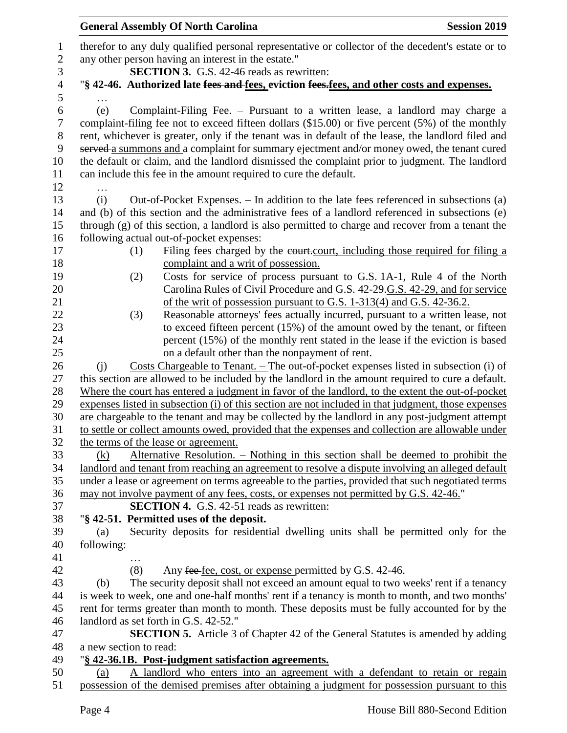|                | <b>General Assembly Of North Carolina</b><br><b>Session 2019</b>                                                                                                                                      |  |
|----------------|-------------------------------------------------------------------------------------------------------------------------------------------------------------------------------------------------------|--|
| $\mathbf{1}$   | therefor to any duly qualified personal representative or collector of the decedent's estate or to                                                                                                    |  |
| $\mathbf{2}$   | any other person having an interest in the estate."                                                                                                                                                   |  |
| 3              | <b>SECTION 3.</b> G.S. 42-46 reads as rewritten:                                                                                                                                                      |  |
| $\overline{4}$ | "§ 42-46. Authorized late fees and fees, eviction fees.fees, and other costs and expenses.                                                                                                            |  |
| 5              |                                                                                                                                                                                                       |  |
| 6              | Complaint-Filing Fee. – Pursuant to a written lease, a landlord may charge a<br>(e)                                                                                                                   |  |
| $\tau$         | complaint-filing fee not to exceed fifteen dollars (\$15.00) or five percent (5%) of the monthly                                                                                                      |  |
| $8\,$          | rent, whichever is greater, only if the tenant was in default of the lease, the landlord filed and                                                                                                    |  |
| 9              | served a summons and a complaint for summary ejectment and/or money owed, the tenant cured                                                                                                            |  |
| 10             | the default or claim, and the landlord dismissed the complaint prior to judgment. The landlord                                                                                                        |  |
| 11             | can include this fee in the amount required to cure the default.                                                                                                                                      |  |
| 12<br>13       | Out-of-Pocket Expenses. – In addition to the late fees referenced in subsections (a)<br>(i)                                                                                                           |  |
| 14             | and (b) of this section and the administrative fees of a landlord referenced in subsections (e)                                                                                                       |  |
| 15             | through (g) of this section, a landlord is also permitted to charge and recover from a tenant the                                                                                                     |  |
| 16             | following actual out-of-pocket expenses:                                                                                                                                                              |  |
| 17             | Filing fees charged by the court court, including those required for filing a<br>(1)                                                                                                                  |  |
| 18             | complaint and a writ of possession.                                                                                                                                                                   |  |
| 19             | Costs for service of process pursuant to G.S. 1A-1, Rule 4 of the North<br>(2)                                                                                                                        |  |
| 20             | Carolina Rules of Civil Procedure and G.S. 42-29. G.S. 42-29, and for service                                                                                                                         |  |
| 21             | of the writ of possession pursuant to G.S. 1-313(4) and G.S. 42-36.2.                                                                                                                                 |  |
| 22             | Reasonable attorneys' fees actually incurred, pursuant to a written lease, not<br>(3)                                                                                                                 |  |
| 23             | to exceed fifteen percent (15%) of the amount owed by the tenant, or fifteen                                                                                                                          |  |
| 24<br>25       | percent (15%) of the monthly rent stated in the lease if the eviction is based<br>on a default other than the nonpayment of rent.                                                                     |  |
| 26             | Costs Chargeable to Tenant. $-$ The out-of-pocket expenses listed in subsection (i) of<br>(i)                                                                                                         |  |
| 27             | this section are allowed to be included by the landlord in the amount required to cure a default.                                                                                                     |  |
| 28             | Where the court has entered a judgment in favor of the landlord, to the extent the out-of-pocket                                                                                                      |  |
| 29             | expenses listed in subsection (i) of this section are not included in that judgment, those expenses                                                                                                   |  |
| 30             | are chargeable to the tenant and may be collected by the landlord in any post-judgment attempt                                                                                                        |  |
| 31             | to settle or collect amounts owed, provided that the expenses and collection are allowable under                                                                                                      |  |
| 32             | the terms of the lease or agreement.                                                                                                                                                                  |  |
| 33             | Alternative Resolution. – Nothing in this section shall be deemed to prohibit the<br>(k)                                                                                                              |  |
| 34             | landlord and tenant from reaching an agreement to resolve a dispute involving an alleged default<br>under a lease or agreement on terms agreeable to the parties, provided that such negotiated terms |  |
| 35<br>36       | may not involve payment of any fees, costs, or expenses not permitted by G.S. 42-46."                                                                                                                 |  |
| 37             | <b>SECTION 4.</b> G.S. 42-51 reads as rewritten:                                                                                                                                                      |  |
| 38             | "§ 42-51. Permitted uses of the deposit.                                                                                                                                                              |  |
| 39             | Security deposits for residential dwelling units shall be permitted only for the<br>(a)                                                                                                               |  |
| 40             | following:                                                                                                                                                                                            |  |
| 41             |                                                                                                                                                                                                       |  |
| 42             | Any fee fee, cost, or expense permitted by G.S. 42-46.<br>(8)                                                                                                                                         |  |
| 43             | The security deposit shall not exceed an amount equal to two weeks' rent if a tenancy<br>(b)                                                                                                          |  |
| 44             | is week to week, one and one-half months' rent if a tenancy is month to month, and two months'                                                                                                        |  |
| 45<br>46       | rent for terms greater than month to month. These deposits must be fully accounted for by the<br>landlord as set forth in G.S. 42-52."                                                                |  |
| 47             | <b>SECTION 5.</b> Article 3 of Chapter 42 of the General Statutes is amended by adding                                                                                                                |  |
| 48             | a new section to read:                                                                                                                                                                                |  |
| 49             | "§ 42-36.1B. Post-judgment satisfaction agreements.                                                                                                                                                   |  |
| 50             | A landlord who enters into an agreement with a defendant to retain or regain<br>(a)                                                                                                                   |  |
| 51             | possession of the demised premises after obtaining a judgment for possession pursuant to this                                                                                                         |  |